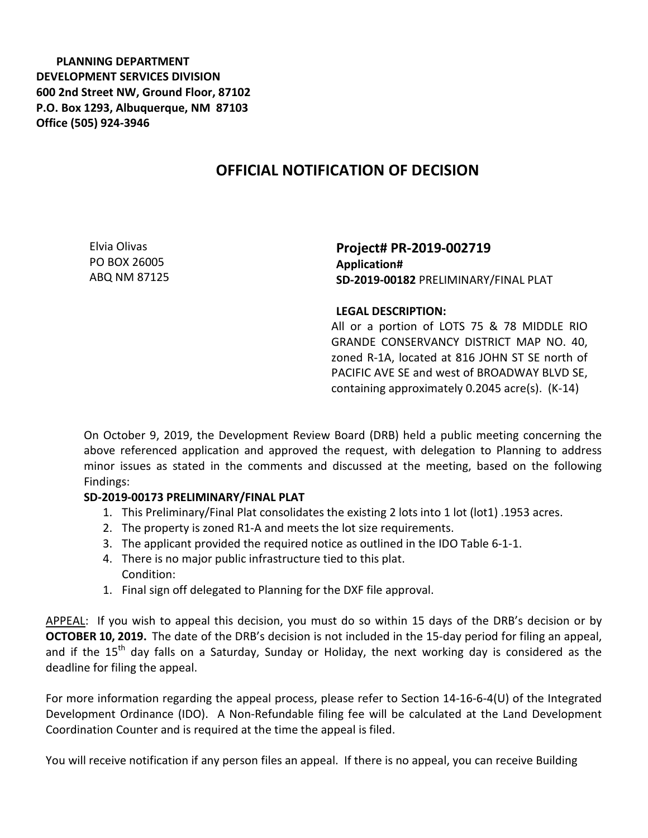**PLANNING DEPARTMENT DEVELOPMENT SERVICES DIVISION 600 2nd Street NW, Ground Floor, 87102 P.O. Box 1293, Albuquerque, NM 87103 Office (505) 924-3946** 

## **OFFICIAL NOTIFICATION OF DECISION**

Elvia Olivas PO BOX 26005 ABQ NM 87125

**Project# PR-2019-002719 Application# SD-2019-00182** PRELIMINARY/FINAL PLAT

## **LEGAL DESCRIPTION:**

All or a portion of LOTS 75 & 78 MIDDLE RIO GRANDE CONSERVANCY DISTRICT MAP NO. 40, zoned R-1A, located at 816 JOHN ST SE north of PACIFIC AVE SE and west of BROADWAY BLVD SE, containing approximately 0.2045 acre(s). (K-14)

On October 9, 2019, the Development Review Board (DRB) held a public meeting concerning the above referenced application and approved the request, with delegation to Planning to address minor issues as stated in the comments and discussed at the meeting, based on the following Findings:

## **SD-2019-00173 PRELIMINARY/FINAL PLAT**

- 1. This Preliminary/Final Plat consolidates the existing 2 lots into 1 lot (lot1) .1953 acres.
- 2. The property is zoned R1-A and meets the lot size requirements.
- 3. The applicant provided the required notice as outlined in the IDO Table 6-1-1.
- 4. There is no major public infrastructure tied to this plat. Condition:
- 1. Final sign off delegated to Planning for the DXF file approval.

APPEAL: If you wish to appeal this decision, you must do so within 15 days of the DRB's decision or by **OCTOBER 10, 2019.** The date of the DRB's decision is not included in the 15-day period for filing an appeal, and if the 15<sup>th</sup> day falls on a Saturday, Sunday or Holiday, the next working day is considered as the deadline for filing the appeal.

For more information regarding the appeal process, please refer to Section 14-16-6-4(U) of the Integrated Development Ordinance (IDO). A Non-Refundable filing fee will be calculated at the Land Development Coordination Counter and is required at the time the appeal is filed.

You will receive notification if any person files an appeal. If there is no appeal, you can receive Building